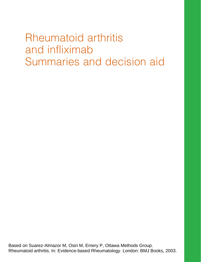Rheumatoid arthritis and infliximab Summaries and decision aid

Based on Suarez-Almazor M, Osiri M, Emery P, Ottawa Methods Group. Rheumatoid arthritis. In: Evidence-based Rheumatology. London: BMJ Books, 2003.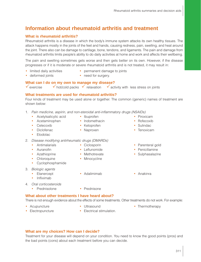# **Information about rheumatoid arthritis and treatment**

#### **What is rheumatoid arthritis?**

Rheumatoid arthritis is a disease in which the body's immune system attacks its own healthy tissues. The attack happens mostly in the joints of the feet and hands, causing redness, pain, swelling, and heat around the joint. There also can be damage to cartilage, bone, tendons, and ligaments. The pain and damage from rheumatoid arthritis limits people's ability to do daily activities at home and work and affects their wellbeing.

The pain and swelling sometimes gets worse and then gets better on its own. However, if the disease progresses or if it is moderate or severe rheumatoid arthritis and is not treated, it may result in:

- limited daily activities permanent damage to joints
	-
- 
- deformed joints need for surgery.

#### **What can I do on my own to manage my disease?**

 $\checkmark$  exercise  $\checkmark$  hot/cold packs  $\checkmark$  relaxation  $\checkmark$  activity with less stress on joints

#### **What treatments are used for rheumatoid arthritis?**

Four kinds of treatment may be used alone or together. The common (generic) names of treatment are shown below:

- 1. Pain medicine, aspirin, and non-steroidal anti-inflammatory drugs (NSAIDs)
	- Acetylsalicylic acid Ibuprofen Piroxicam
		-
	- Acetaminophen Indomethacin Rofecoxib
- - Celecoxib Ketoprofen Sulindac
- - Diclofenac Naproxen Naproxen Tenoxicam
	- Etodolac
- 2. Disease modifying antirheumatic drugs (DMARDs)
	-
	-
	-
	-
	- Cyclophosphamide
- 3. Biologic agents
	-
	- Infliximab
- 
- Chloroquine Minocycline
	-
- Antimalarials Ciclosporin Parenteral gold
- Auranofin Leflunomide Penicillamine
- Azathioprine Methotrexate Sulphasalazine
- Etanercept Adalimimab Anakinra
- 4. Oral corticosteroids
	- Prednisolone Prednisone
		-

#### **What about other treatments I have heard about?**

There is not enough evidence about the effects of some treatments. Other treatments do not work. For example:

- 
- 
- Acupuncture • Ultrasound Thermotherapy
- 
- Electropuncture Electrical stimulation.
- **What are my choices? How can I decide?**

Treatment for your disease will depend on your condition. You need to know the good points (pros) and the bad points (cons) about each treatment before you can decide.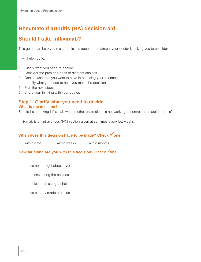# **Rheumatoid arthritis (RA) decision aid**

# **Should I take infliximab?**

This guide can help you make decisions about the treatment your doctor is asking you to consider.

It will help you to:

- 1. Clarify what you need to decide.
- 2. Consider the pros and cons of different choices.
- 3. Decide what role you want to have in choosing your treatment.
- 4. Identify what you need to help you make the decision.
- 5. Plan the next steps.
- 6. Share your thinking with your doctor.

### **Step 1: Clarify what you need to decide What is the decision?**

Should I start taking infliximab when methotrexate alone is not working to control rheumatoid arthritis?

Infliximab is an intravenous (IV) injection given at set times every few weeks.

# **When does this decision have to be made? Check √one**

| y within day |
|--------------|
|--------------|

 $\mathsf{w}\mathsf{s}$  within weeks within months

#### How far along are you with this decision? Check √one

 $\Box$  I have not thought about it yet

I am considering the choices

I am close to making a choice

 $\Box$  I have already made a choice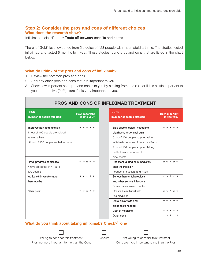### **Step 2: Consider the pros and cons of different choices What does the research show?**

Infliximab is classified as: Trade-off between benefits and harms

There is "Gold" level evidence from 2 studies of 428 people with rheumatoid arthritis. The studies tested infliximab and lasted 6 months to 1 year. These studies found pros and cons that are listed in the chart below.

#### **What do I think of the pros and cons of infliximab?**

- 1. Review the common pros and cons.
- 2. Add any other pros and cons that are important to you.
- 3. Show how important each pro and con is to you by circling from one (\*) star if it is a little important to you, to up to five (\*\*\*\*\*) stars if it is very important to you.

| PROS AND CONS OF INFLIXIMAB TREATMENT                                                                                       |                                       |  |  |  |  |
|-----------------------------------------------------------------------------------------------------------------------------|---------------------------------------|--|--|--|--|
| <b>PROS</b><br>(number of people affected)                                                                                  | <b>How important</b><br>is it to you? |  |  |  |  |
| Improves pain and function<br>41 out of 100 people are helped<br>at least a little<br>31 out of 100 people are helped a lot | * * * * *                             |  |  |  |  |
| Slows progress of disease<br>X-rays are better in 47 out of<br>100 people                                                   | * * * * *                             |  |  |  |  |
| Works within weeks rather<br>than months<br>Other pros:                                                                     | * * * * *<br>$* * * * * *$            |  |  |  |  |
|                                                                                                                             |                                       |  |  |  |  |
|                                                                                                                             |                                       |  |  |  |  |

## **What do you think about taking infliximab? Check one**

Willing to consider this treatment Unsure Not willing to consider this treatment

Pros are more important to me than the Cons Cons are more important to me than the Pros